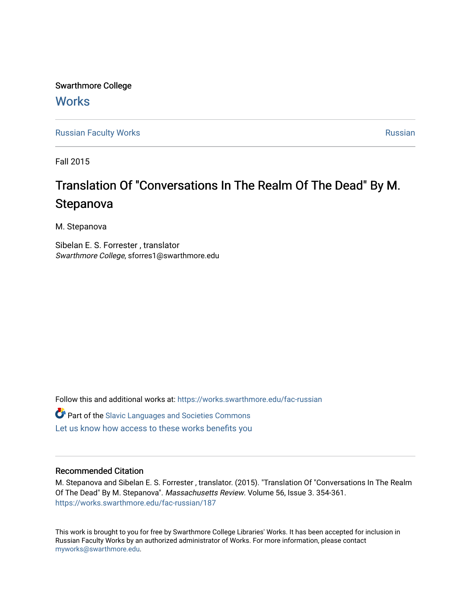Swarthmore College **Works** 

[Russian Faculty Works](https://works.swarthmore.edu/fac-russian) **Russian** [Russian](https://works.swarthmore.edu/russian) Russian Russian

Fall 2015

# Translation Of "Conversations In The Realm Of The Dead" By M. Stepanova

M. Stepanova

Sibelan E. S. Forrester , translator Swarthmore College, sforres1@swarthmore.edu

Follow this and additional works at: [https://works.swarthmore.edu/fac-russian](https://works.swarthmore.edu/fac-russian?utm_source=works.swarthmore.edu%2Ffac-russian%2F187&utm_medium=PDF&utm_campaign=PDFCoverPages) 

**C** Part of the Slavic Languages and Societies Commons

[Let us know how access to these works benefits you](https://forms.gle/4MB8mE2GywC5965J8) 

## Recommended Citation

M. Stepanova and Sibelan E. S. Forrester , translator. (2015). "Translation Of "Conversations In The Realm Of The Dead" By M. Stepanova". Massachusetts Review. Volume 56, Issue 3. 354-361. <https://works.swarthmore.edu/fac-russian/187>

This work is brought to you for free by Swarthmore College Libraries' Works. It has been accepted for inclusion in Russian Faculty Works by an authorized administrator of Works. For more information, please contact [myworks@swarthmore.edu.](mailto:myworks@swarthmore.edu)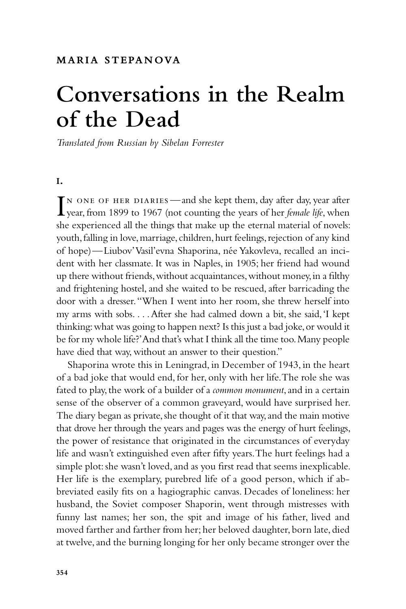# **Conversations in the Realm of the Dead**

*Translated from Russian by Sibelan Forrester*

**i.**

I<sup>N</sup> ONE OF HER DIARIES—and she kept them, day after day, year after year, from 1899 to 1967 (not counting the years of her *female life*, when  $\blacksquare$  N ONE OF HER DIARIES —and she kept them, day after day, year after she experienced all the things that make up the eternal material of novels: youth, falling in love, marriage, children, hurt feelings, rejection of any kind of hope)—Liubov' Vasil'evna Shaporina, née Yakovleva, recalled an incident with her classmate. It was in Naples, in 1905; her friend had wound up there without friends, without acquaintances, without money, in a filthy and frightening hostel, and she waited to be rescued, after barricading the door with a dresser. "When I went into her room, she threw herself into my arms with sobs. . . . After she had calmed down a bit, she said, 'I kept thinking: what was going to happen next? Is this just a bad joke, or would it be for my whole life?' And that's what I think all the time too. Many people have died that way, without an answer to their question."

Shaporina wrote this in Leningrad, in December of 1943, in the heart of a bad joke that would end, for her, only with her life. The role she was fated to play, the work of a builder of a *common monument*, and in a certain sense of the observer of a common graveyard, would have surprised her. The diary began as private, she thought of it that way, and the main motive that drove her through the years and pages was the energy of hurt feelings, the power of resistance that originated in the circumstances of everyday life and wasn't extinguished even after fifty years. The hurt feelings had a simple plot: she wasn't loved, and as you first read that seems inexplicable. Her life is the exemplary, purebred life of a good person, which if abbreviated easily fits on a hagiographic canvas. Decades of loneliness: her husband, the Soviet composer Shaporin, went through mistresses with funny last names; her son, the spit and image of his father, lived and moved farther and farther from her; her beloved daughter, born late, died at twelve, and the burning longing for her only became stronger over the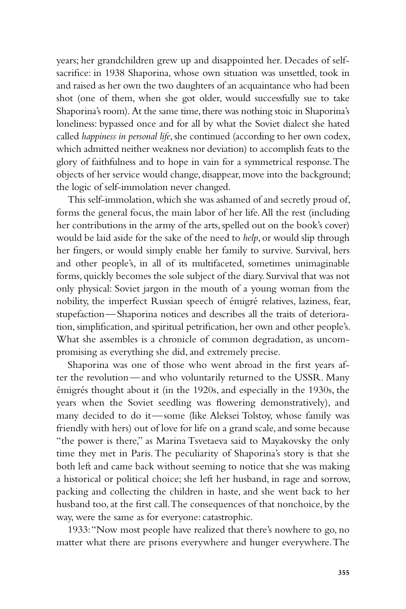years; her grandchildren grew up and disappointed her. Decades of selfsacrifice: in 1938 Shaporina, whose own situation was unsettled, took in and raised as her own the two daughters of an acquaintance who had been shot (one of them, when she got older, would successfully sue to take Shaporina's room). At the same time, there was nothing stoic in Shaporina's loneliness: bypassed once and for all by what the Soviet dialect she hated called *happiness in personal life*, she continued (according to her own codex, which admitted neither weakness nor deviation) to accomplish feats to the glory of faithfulness and to hope in vain for a symmetrical response. The objects of her service would change, disappear, move into the background; the logic of self-immolation never changed.

This self-immolation, which she was ashamed of and secretly proud of, forms the general focus, the main labor of her life. All the rest (including her contributions in the army of the arts, spelled out on the book's cover) would be laid aside for the sake of the need to *help*, or would slip through her fingers, or would simply enable her family to survive. Survival, hers and other people's, in all of its multifaceted, sometimes unimaginable forms, quickly becomes the sole subject of the diary. Survival that was not only physical: Soviet jargon in the mouth of a young woman from the nobility, the imperfect Russian speech of émigré relatives, laziness, fear, stupefaction—Shaporina notices and describes all the traits of deterioration, simplification, and spiritual petrification, her own and other people's. What she assembles is a chronicle of common degradation, as uncompromising as everything she did, and extremely precise.

Shaporina was one of those who went abroad in the first years after the revolution—and who voluntarily returned to the USSR. Many émigrés thought about it (in the 1920s, and especially in the 1930s, the years when the Soviet seedling was flowering demonstratively), and many decided to do it—some (like Aleksei Tolstoy, whose family was friendly with hers) out of love for life on a grand scale, and some because "the power is there," as Marina Tsvetaeva said to Mayakovsky the only time they met in Paris. The peculiarity of Shaporina's story is that she both left and came back without seeming to notice that she was making a historical or political choice; she left her husband, in rage and sorrow, packing and collecting the children in haste, and she went back to her husband too, at the first call. The consequences of that nonchoice, by the way, were the same as for everyone: catastrophic.

1933: "Now most people have realized that there's nowhere to go, no matter what there are prisons everywhere and hunger everywhere. The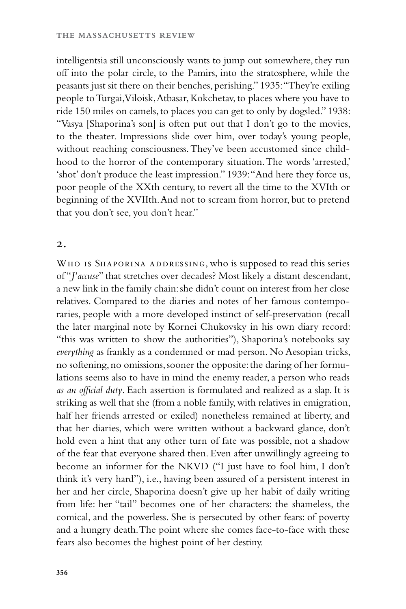intelligentsia still unconsciously wants to jump out somewhere, they run off into the polar circle, to the Pamirs, into the stratosphere, while the peasants just sit there on their benches, perishing." 1935: "They're exiling people to Turgai, Viloisk, Atbasar, Kokchetav, to places where you have to ride 150 miles on camels, to places you can get to only by dogsled." 1938: "Vasya [Shaporina's son] is often put out that I don't go to the movies, to the theater. Impressions slide over him, over today's young people, without reaching consciousness. They've been accustomed since childhood to the horror of the contemporary situation. The words 'arrested,' 'shot' don't produce the least impression." 1939: "And here they force us, poor people of the XXth century, to revert all the time to the XVIth or beginning of the XVIIth. And not to scream from horror, but to pretend that you don't see, you don't hear."

#### **2.**

WHO IS SHAPORINA ADDRESSING, who is supposed to read this series of "*J'accuse*" that stretches over decades? Most likely a distant descendant, a new link in the family chain: she didn't count on interest from her close relatives. Compared to the diaries and notes of her famous contemporaries, people with a more developed instinct of self-preservation (recall the later marginal note by Kornei Chukovsky in his own diary record: "this was written to show the authorities"), Shaporina's notebooks say *everything* as frankly as a condemned or mad person. No Aesopian tricks, no softening, no omissions, sooner the opposite: the daring of her formulations seems also to have in mind the enemy reader, a person who reads *as an official duty*. Each assertion is formulated and realized as a slap. It is striking as well that she (from a noble family, with relatives in emigration, half her friends arrested or exiled) nonetheless remained at liberty, and that her diaries, which were written without a backward glance, don't hold even a hint that any other turn of fate was possible, not a shadow of the fear that everyone shared then. Even after unwillingly agreeing to become an informer for the NKVD ("I just have to fool him, I don't think it's very hard"), i.e., having been assured of a persistent interest in her and her circle, Shaporina doesn't give up her habit of daily writing from life: her "tail" becomes one of her characters: the shameless, the comical, and the powerless. She is persecuted by other fears: of poverty and a hungry death. The point where she comes face-to-face with these fears also becomes the highest point of her destiny.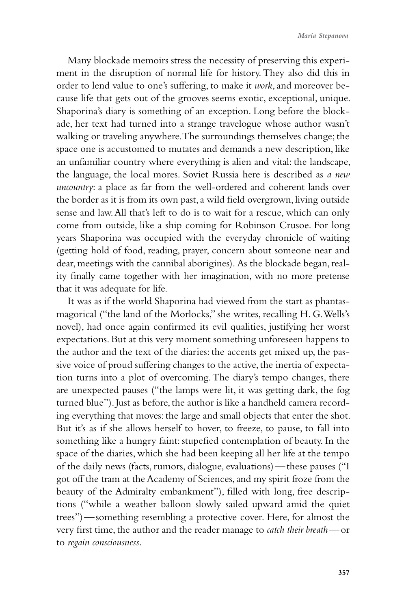Many blockade memoirs stress the necessity of preserving this experiment in the disruption of normal life for history. They also did this in order to lend value to one's suffering, to make it *work*, and moreover because life that gets out of the grooves seems exotic, exceptional, unique. Shaporina's diary is something of an exception. Long before the blockade, her text had turned into a strange travelogue whose author wasn't walking or traveling anywhere. The surroundings themselves change; the space one is accustomed to mutates and demands a new description, like an unfamiliar country where everything is alien and vital: the landscape, the language, the local mores. Soviet Russia here is described as *a new uncountry*: a place as far from the well-ordered and coherent lands over the border as it is from its own past, a wild field overgrown, living outside sense and law. All that's left to do is to wait for a rescue, which can only come from outside, like a ship coming for Robinson Crusoe. For long years Shaporina was occupied with the everyday chronicle of waiting (getting hold of food, reading, prayer, concern about someone near and dear, meetings with the cannibal aborigines). As the blockade began, reality finally came together with her imagination, with no more pretense that it was adequate for life.

It was as if the world Shaporina had viewed from the start as phantasmagorical ("the land of the Morlocks," she writes, recalling H. G. Wells's novel), had once again confirmed its evil qualities, justifying her worst expectations. But at this very moment something unforeseen happens to the author and the text of the diaries: the accents get mixed up, the passive voice of proud suffering changes to the active, the inertia of expectation turns into a plot of overcoming. The diary's tempo changes, there are unexpected pauses ("the lamps were lit, it was getting dark, the fog turned blue"). Just as before, the author is like a handheld camera recording everything that moves: the large and small objects that enter the shot. But it's as if she allows herself to hover, to freeze, to pause, to fall into something like a hungry faint: stupefied contemplation of beauty. In the space of the diaries, which she had been keeping all her life at the tempo of the daily news (facts, rumors, dialogue, evaluations)—these pauses ("I got off the tram at the Academy of Sciences, and my spirit froze from the beauty of the Admiralty embankment"), filled with long, free descriptions ("while a weather balloon slowly sailed upward amid the quiet trees")—something resembling a protective cover. Here, for almost the very first time, the author and the reader manage to *catch their breath*—or to *regain consciousness*.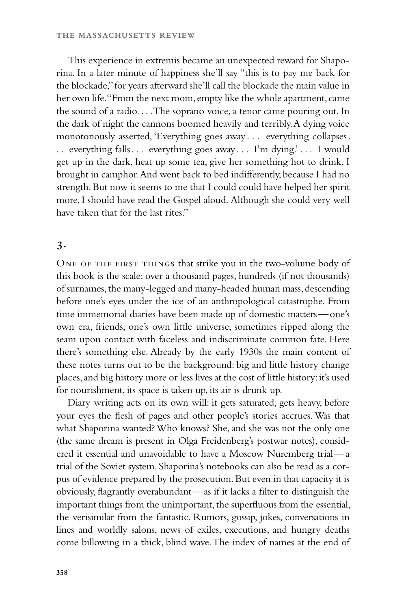This experience in extremis became an unexpected reward for Shaporina. In a later minute of happiness she'll say "this is to pay me back for the blockade," for years afterward she'll call the blockade the main value in her own life. "From the next room, empty like the whole apartment, came the sound of a radio. . . . The soprano voice, a tenor came pouring out. In the dark of night the cannons boomed heavily and terribly. A dying voice monotonously asserted, 'Everything goes away. . . everything collapses. .. everything falls... everything goes away... I'm dying.'... I would get up in the dark, heat up some tea, give her something hot to drink, I brought in camphor. And went back to bed indifferently, because I had no strength. But now it seems to me that I could could have helped her spirit more, I should have read the Gospel aloud. Although she could very well have taken that for the last rites."

### **3.**

ONE OF THE FIRST THINGS that strike you in the two-volume body of this book is the scale: over a thousand pages, hundreds (if not thousands) of surnames, the many-legged and many-headed human mass, descending before one's eyes under the ice of an anthropological catastrophe. From time immemorial diaries have been made up of domestic matters—one's own era, friends, one's own little universe, sometimes ripped along the seam upon contact with faceless and indiscriminate common fate. Here there's something else. Already by the early 1930s the main content of these notes turns out to be the background: big and little history change places, and big history more or less lives at the cost of little history: it's used for nourishment, its space is taken up, its air is drunk up.

Diary writing acts on its own will: it gets saturated, gets heavy, before your eyes the flesh of pages and other people's stories accrues. Was that what Shaporina wanted? Who knows? She, and she was not the only one (the same dream is present in Olga Freidenberg's postwar notes), considered it essential and unavoidable to have a Moscow Nüremberg trial—a trial of the Soviet system. Shaporina's notebooks can also be read as a corpus of evidence prepared by the prosecution. But even in that capacity it is obviously, flagrantly overabundant—as if it lacks a filter to distinguish the important things from the unimportant, the superfluous from the essential, the verisimilar from the fantastic. Rumors, gossip, jokes, conversations in lines and worldly salons, news of exiles, executions, and hungry deaths come billowing in a thick, blind wave. The index of names at the end of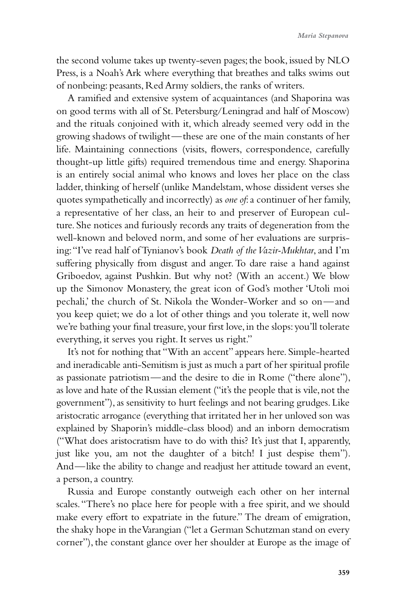the second volume takes up twenty-seven pages; the book, issued by NLO Press, is a Noah's Ark where everything that breathes and talks swims out of nonbeing: peasants, Red Army soldiers, the ranks of writers.

A ramified and extensive system of acquaintances (and Shaporina was on good terms with all of St. Petersburg/Leningrad and half of Moscow) and the rituals conjoined with it, which already seemed very odd in the growing shadows of twilight—these are one of the main constants of her life. Maintaining connections (visits, flowers, correspondence, carefully thought-up little gifts) required tremendous time and energy. Shaporina is an entirely social animal who knows and loves her place on the class ladder, thinking of herself (unlike Mandelstam, whose dissident verses she quotes sympathetically and incorrectly) as *one of*: a continuer of her family, a representative of her class, an heir to and preserver of European culture. She notices and furiously records any traits of degeneration from the well-known and beloved norm, and some of her evaluations are surprising: "I've read half of Tynianov's book *Death of the Vazir-Mukhtar*, and I'm suffering physically from disgust and anger. To dare raise a hand against Griboedov, against Pushkin. But why not? (With an accent.) We blow up the Simonov Monastery, the great icon of God's mother 'Utoli moi pechali,' the church of St. Nikola the Wonder-Worker and so on—and you keep quiet; we do a lot of other things and you tolerate it, well now we're bathing your final treasure, your first love, in the slops: you'll tolerate everything, it serves you right. It serves us right."

It's not for nothing that "With an accent" appears here. Simple-hearted and ineradicable anti-Semitism is just as much a part of her spiritual profile as passionate patriotism—and the desire to die in Rome ("there alone"), as love and hate of the Russian element ("it's the people that is vile, not the government"), as sensitivity to hurt feelings and not bearing grudges. Like aristocratic arrogance (everything that irritated her in her unloved son was explained by Shaporin's middle-class blood) and an inborn democratism ("What does aristocratism have to do with this? It's just that I, apparently, just like you, am not the daughter of a bitch! I just despise them"). And—like the ability to change and readjust her attitude toward an event, a person, a country.

Russia and Europe constantly outweigh each other on her internal scales. "There's no place here for people with a free spirit, and we should make every effort to expatriate in the future." The dream of emigration, the shaky hope in the Varangian ("let a German Schutzman stand on every corner"), the constant glance over her shoulder at Europe as the image of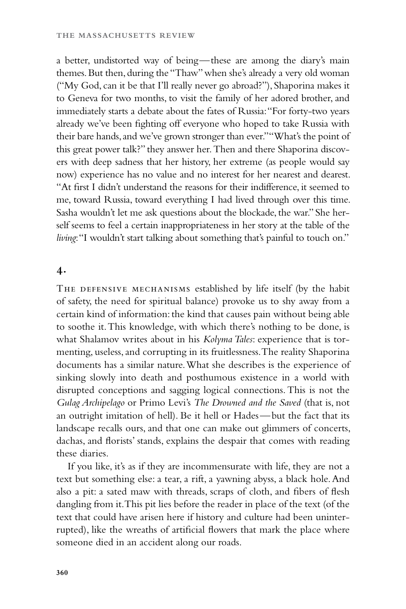a better, undistorted way of being—these are among the diary's main themes. But then, during the "Thaw" when she's already a very old woman ("My God, can it be that I'll really never go abroad?"), Shaporina makes it to Geneva for two months, to visit the family of her adored brother, and immediately starts a debate about the fates of Russia: "For forty-two years already we've been fighting off everyone who hoped to take Russia with their bare hands, and we've grown stronger than ever." "What's the point of this great power talk?" they answer her. Then and there Shaporina discovers with deep sadness that her history, her extreme (as people would say now) experience has no value and no interest for her nearest and dearest. "At first I didn't understand the reasons for their indifference, it seemed to me, toward Russia, toward everything I had lived through over this time. Sasha wouldn't let me ask questions about the blockade, the war." She herself seems to feel a certain inappropriateness in her story at the table of the *living*: "I wouldn't start talking about something that's painful to touch on."

#### **4.**

THE DEFENSIVE MECHANISMS established by life itself (by the habit of safety, the need for spiritual balance) provoke us to shy away from a certain kind of information: the kind that causes pain without being able to soothe it. This knowledge, with which there's nothing to be done, is what Shalamov writes about in his *Kolyma Tales*: experience that is tormenting, useless, and corrupting in its fruitlessness. The reality Shaporina documents has a similar nature. What she describes is the experience of sinking slowly into death and posthumous existence in a world with disrupted conceptions and sagging logical connections. This is not the *Gulag Archipelago* or Primo Levi's *The Drowned and the Saved* (that is, not an outright imitation of hell). Be it hell or Hades—but the fact that its landscape recalls ours, and that one can make out glimmers of concerts, dachas, and florists' stands, explains the despair that comes with reading these diaries.

If you like, it's as if they are incommensurate with life, they are not a text but something else: a tear, a rift, a yawning abyss, a black hole. And also a pit: a sated maw with threads, scraps of cloth, and fibers of flesh dangling from it. This pit lies before the reader in place of the text (of the text that could have arisen here if history and culture had been uninterrupted), like the wreaths of artificial flowers that mark the place where someone died in an accident along our roads.